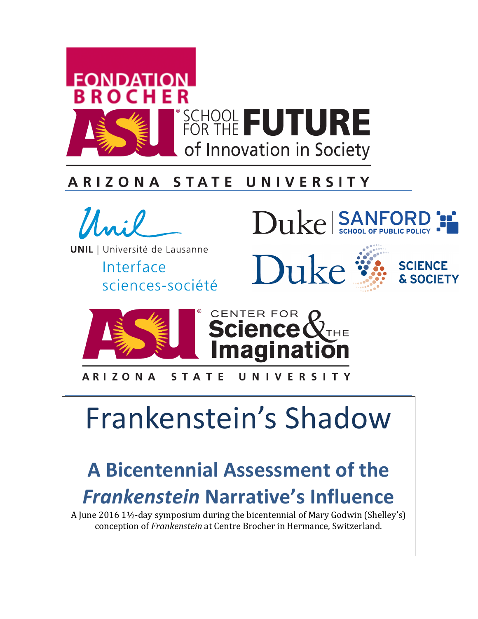

#### ARIZONA **STATE** UNIVERSITY



**UNIL** | Université de Lausanne

Interface sciences-société



Duke



UNIVERSITY **ARIZONA STATE** 

# Frankenstein's Shadow

# **A** Bicentennial Assessment of the **Frankenstein Narrative's Influence**

A June 2016  $1\frac{1}{2}$ -day symposium during the bicentennial of Mary Godwin (Shelley's) conception of *Frankenstein* at Centre Brocher in Hermance, Switzerland.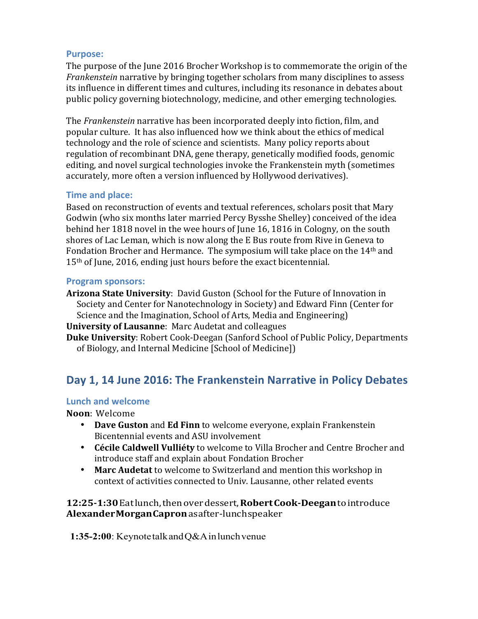#### **Purpose:**

The purpose of the June 2016 Brocher Workshop is to commemorate the origin of the *Frankenstein* narrative by bringing together scholars from many disciplines to assess its influence in different times and cultures, including its resonance in debates about public policy governing biotechnology, medicine, and other emerging technologies.

The *Frankenstein* narrative has been incorporated deeply into fiction, film, and popular culture. It has also influenced how we think about the ethics of medical technology and the role of science and scientists. Many policy reports about regulation of recombinant DNA, gene therapy, genetically modified foods, genomic editing, and novel surgical technologies invoke the Frankenstein myth (sometimes accurately, more often a version influenced by Hollywood derivatives).

#### **Time and place:**

Based on reconstruction of events and textual references, scholars posit that Mary Godwin (who six months later married Percy Bysshe Shelley) conceived of the idea behind her 1818 novel in the wee hours of June 16, 1816 in Cologny, on the south shores of Lac Leman, which is now along the E Bus route from Rive in Geneva to Fondation Brocher and Hermance. The symposium will take place on the  $14<sup>th</sup>$  and  $15<sup>th</sup>$  of June, 2016, ending just hours before the exact bicentennial.

#### **Program sponsors:**

**Arizona State University:** David Guston (School for the Future of Innovation in Society and Center for Nanotechnology in Society) and Edward Finn (Center for Science and the Imagination, School of Arts, Media and Engineering)

- **University of Lausanne: Marc Audetat and colleagues**
- **Duke University:** Robert Cook-Deegan (Sanford School of Public Policy, Departments of Biology, and Internal Medicine [School of Medicine])

# Day 1, 14 June 2016: The Frankenstein Narrative in Policy Debates

#### **Lunch and welcome**

#### **Noon**: Welcome

- Dave Guston and Ed Finn to welcome everyone, explain Frankenstein Bicentennial events and ASU involvement
- **Cécile Caldwell Vulliéty** to welcome to Villa Brocher and Centre Brocher and introduce staff and explain about Fondation Brocher
- **Marc Audetat** to welcome to Switzerland and mention this workshop in context of activities connected to Univ. Lausanne, other related events

**12:25-1:30**Eatlunch,thenoverdessert,**RobertCook-Deegan**tointroduce **AlexanderMorganCapron**asafter-lunchspeaker

**1:35-2:00**: KeynotetalkandQ&Ainlunchvenue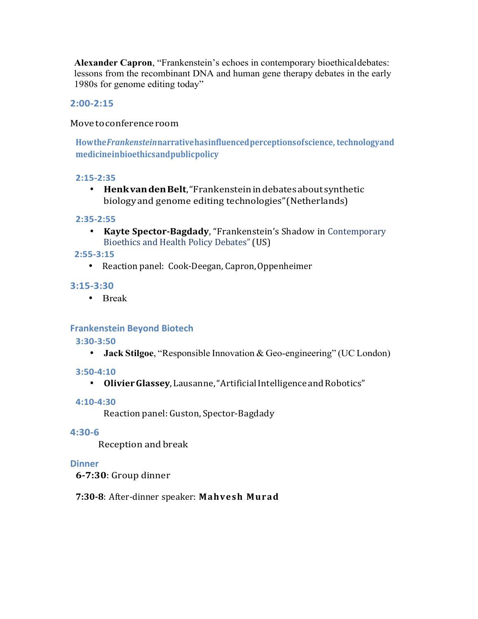**Alexander Capron**, "Frankenstein's echoes in contemporary bioethicaldebates: lessons from the recombinant DNA and human gene therapy debates in the early 1980s for genome editing today"

#### **2:00-2:15**

#### Movetoconferenceroom

**Howthe***Frankenstein***narrativehasinfluencedperceptionsofscience, technologyand medicineinbioethicsandpublicpolicy**

#### **2:15-2:35**

• **HenkvandenBelt**,"Frankensteinindebatesaboutsynthetic biology and genome editing technologies" (Netherlands)

#### **2:35-2:55**

• **Kayte Spector-Bagdady**, "Frankenstein's Shadow in Contemporary Bioethics and Health Policy Debates" (US)

#### **2:55-3:15**

• Reaction panel: Cook-Deegan, Capron, Oppenheimer

#### **3:15-3:30**

• Break

#### **Frankenstein Beyond Biotech**

#### **3:30-3:50**

• **Jack Stilgoe**, "Responsible Innovation & Geo-engineering" (UC London)

#### **3:50-4:10**

• **OlivierGlassey**,Lausanne,"ArtificialIntelligence andRobotics"

#### **4:10-4:30**

Reaction panel: Guston, Spector-Bagdady

#### **4:30-6**

Reception and break

#### **Dinner**

**6-7:30**: Group dinner

**7:30-8**: After-dinner speaker: **Mahvesh Murad**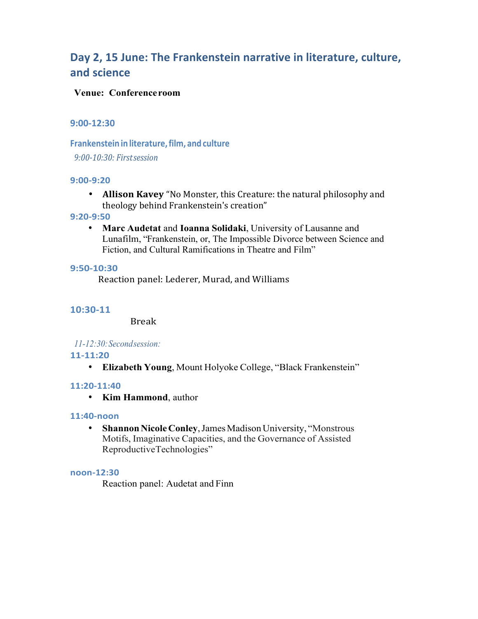# Day 2, 15 June: The Frankenstein narrative in literature, culture, **and science**

#### **Venue: Conferenceroom**

#### **9:00-12:30**

**Frankenstein in literature,film, and culture** *9:00-10:30: Firstsession*

#### **9:00-9:20**

• **Allison Kavey** "No Monster, this Creature: the natural philosophy and theology behind Frankenstein's creation"

#### **9:20-9:50**

• **Marc Audetat** and **Ioanna Solidaki**, University of Lausanne and Lunafilm, "Frankenstein, or, The Impossible Divorce between Science and Fiction, and Cultural Ramifications in Theatre and Film"

#### **9:50-10:30**

Reaction panel: Lederer, Murad, and Williams

#### **10:30-11**

Break

#### *11-12:30:Secondsession:*

#### **11-11:20**

• **Elizabeth Young**, Mount Holyoke College, "Black Frankenstein"

#### **11:20-11:40**

• **Kim Hammond**, author

#### **11:40-noon**

• Shannon Nicole Conley, James Madison University, "Monstrous Motifs, Imaginative Capacities, and the Governance of Assisted ReproductiveTechnologies"

#### **noon-12:30**

Reaction panel: Audetat and Finn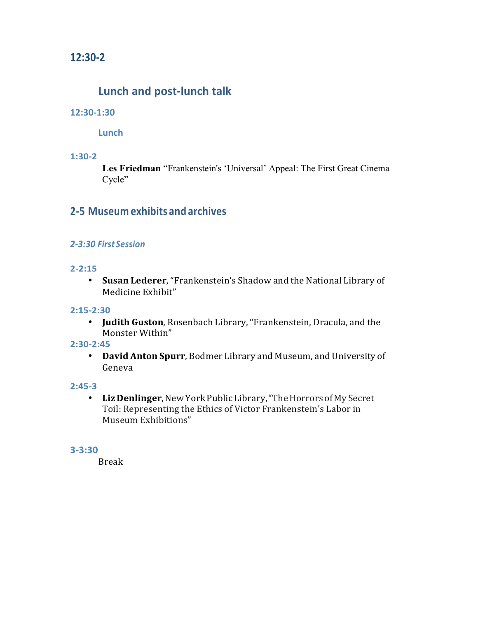## **12:30-2**

# **Lunch and post-lunch talk**

#### **12:30-1:30**

**Lunch**

#### **1:30-2**

**Les Friedman** "Frankenstein's 'Universal' Appeal: The First Great Cinema Cycle"

## **2-5 Museum exhibits and archives**

#### *2-3:30 FirstSession*

#### **2-2:15**

• **Susan Lederer**,"Frankenstein's Shadow and the National Library of Medicine Exhibit"

#### **2:15-2:30**

• **Judith Guston**, Rosenbach Library, "Frankenstein, Dracula, and the Monster Within"

#### **2:30-2:45**

• **David Anton Spurr**, Bodmer Library and Museum, and University of Geneva

#### **2:45-3**

• Liz Denlinger, New York Public Library, "The Horrors of My Secret Toil: Representing the Ethics of Victor Frankenstein's Labor in Museum Exhibitions"

#### **3-3:30**

Break